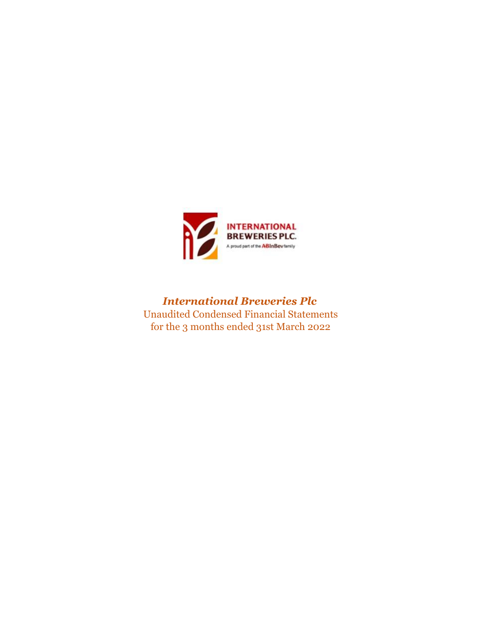

*International Breweries Plc* Unaudited Condensed Financial Statements for the 3 months ended 31st March 2022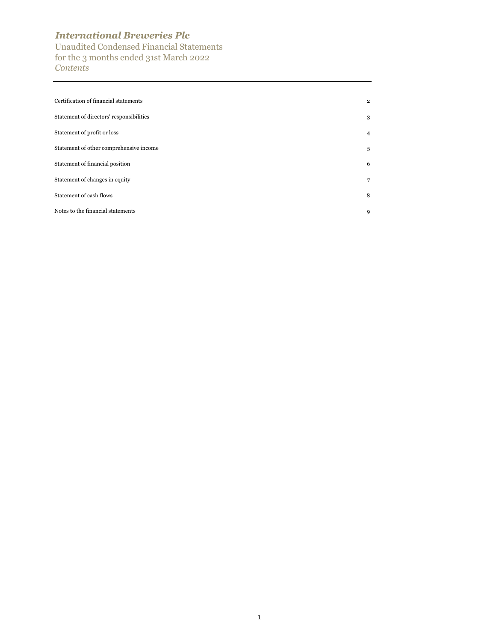Unaudited Condensed Financial Statements for the 3 months ended 31st March 2022 *Contents*

| Certification of financial statements    | $\overline{2}$ |
|------------------------------------------|----------------|
| Statement of directors' responsibilities | 3              |
| Statement of profit or loss              | $\overline{4}$ |
| Statement of other comprehensive income  | 5              |
| Statement of financial position          | 6              |
| Statement of changes in equity           | 7              |
| Statement of cash flows                  | 8              |
| Notes to the financial statements        | 9              |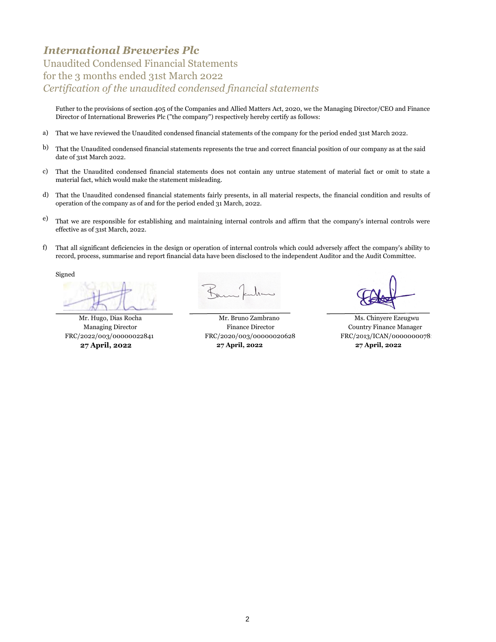## Unaudited Condensed Financial Statements for the 3 months ended 31st March 2022 *Certification of the unaudited condensed financial statements*

Futher to the provisions of section 405 of the Companies and Allied Matters Act, 2020, we the Managing Director/CEO and Finance Director of International Breweries Plc ("the company") respectively hereby certify as follows:

- a) That we have reviewed the Unaudited condensed financial statements of the company for the period ended 31st March 2022.
- b) That the Unaudited condensed financial statements represents the true and correct financial position of our company as at the said date of 31st March 2022.
- c) That the Unaudited condensed financial statements does not contain any untrue statement of material fact or omit to state a material fact, which would make the statement misleading.
- d) That the Unaudited condensed financial statements fairly presents, in all material respects, the financial condition and results of operation of the company as of and for the period ended 31 March, 2022.
- e) That we are responsible for establishing and maintaining internal controls and affirm that the company's internal controls were effective as of 31st March, 2022.
- f) That all significant deficiencies in the design or operation of internal controls which could adversely affect the company's ability to record, process, summarise and report financial data have been disclosed to the independent Auditor and the Audit Committee.

Signed

Mr. Hugo, Dias Rocha Mr. Bruno Zambrano Ms. Chinyere Ezeugwu Managing Director Finance Director Country Finance Manager FRC/2022/003/00000022841 FRC/2020/003/00000020628 FRC/2023/ICAN/0000000078 **27 April, 2022 27 April, 2022 27 April, 2022**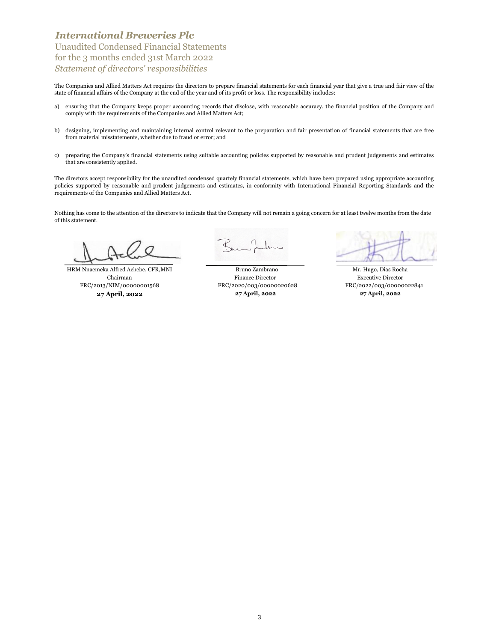Unaudited Condensed Financial Statements for the 3 months ended 31st March 2022 *Statement of directors' responsibilities*

The Companies and Allied Matters Act requires the directors to prepare financial statements for each financial year that give a true and fair view of the state of financial affairs of the Company at the end of the year and of its profit or loss. The responsibility includes:

- a) ensuring that the Company keeps proper accounting records that disclose, with reasonable accuracy, the financial position of the Company and comply with the requirements of the Companies and Allied Matters Act;
- b) designing, implementing and maintaining internal control relevant to the preparation and fair presentation of financial statements that are free from material misstatements, whether due to fraud or error; and
- c) preparing the Company's financial statements using suitable accounting policies supported by reasonable and prudent judgements and estimates that are consistently applied.

The directors accept responsibility for the unaudited condensed quartely financial statements, which have been prepared using appropriate accounting policies supported by reasonable and prudent judgements and estimates, in conformity with International Financial Reporting Standards and the requirements of the Companies and Allied Matters Act.

Nothing has come to the attention of the directors to indicate that the Company will not remain a going concern for at least twelve months from the date of this statement.

Chairman HRM Nnaemeka Alfred Achebe, CFR,MNI FRC/2013/NIM/00000001568

 FRC/2020/003/00000020628 **27 April, 2022 27 April, 2022** Bruno Zambrano Mr. Hugo, Dias Rocha Finance Director Executive Director **27 April, 2022**

FRC/2022/003/00000022841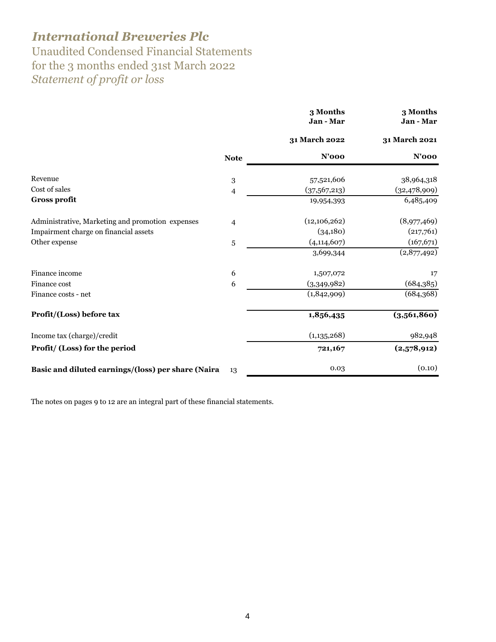Unaudited Condensed Financial Statements for the 3 months ended 31st March 2022 *Statement of profit or loss* 

|                                                    |                | 3 Months<br>Jan - Mar | 3 Months<br>Jan - Mar |
|----------------------------------------------------|----------------|-----------------------|-----------------------|
|                                                    |                | 31 March 2022         | 31 March 2021         |
|                                                    | <b>Note</b>    | $N'$ 000              | <b>N'000</b>          |
| Revenue                                            | 3              | 57,521,606            | 38,964,318            |
| Cost of sales                                      | $\overline{4}$ | (37,567,213)          | (32, 478, 909)        |
| <b>Gross profit</b>                                |                | 19,954,393            | 6,485,409             |
| Administrative, Marketing and promotion expenses   | $\overline{4}$ | (12,106,262)          | (8,977,469)           |
| Impairment charge on financial assets              |                | (34,180)              | (217,761)             |
| Other expense                                      | 5              | (4, 114, 607)         | (167, 671)            |
|                                                    |                | 3,699,344             | (2,877,492)           |
| Finance income                                     | 6              | 1,507,072             | 17                    |
| Finance cost                                       | 6              | (3,349,982)           | (684,385)             |
| Finance costs - net                                |                | (1,842,909)           | (684, 368)            |
| Profit/(Loss) before tax                           |                | 1,856,435             | (3,561,860)           |
| Income tax (charge)/credit                         |                | (1, 135, 268)         | 982,948               |
| Profit/ (Loss) for the period                      |                | 721,167               | (2,578,912)           |
| Basic and diluted earnings/(loss) per share (Naira | 13             | 0.03                  | (0.10)                |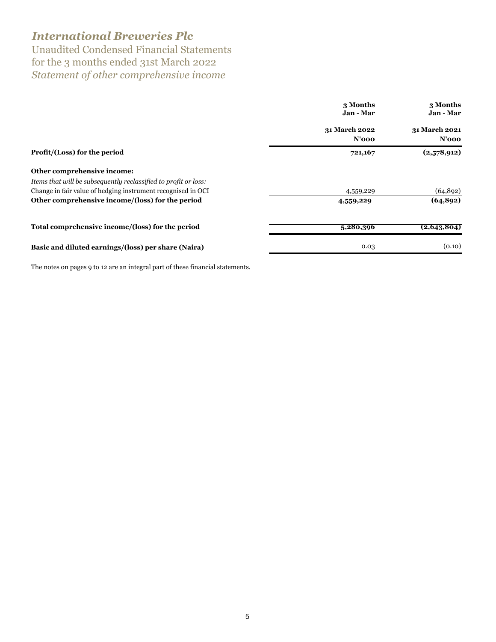Unaudited Condensed Financial Statements for the 3 months ended 31st March 2022 *Statement of other comprehensive income*

|                                                                 | 3 Months<br>Jan - Mar     |                           |
|-----------------------------------------------------------------|---------------------------|---------------------------|
|                                                                 | 31 March 2022<br>$N'$ 000 | 31 March 2021<br>$N'$ 000 |
| Profit/(Loss) for the period                                    | 721,167                   | (2,578,912)               |
| Other comprehensive income:                                     |                           |                           |
| Items that will be subsequently reclassified to profit or loss: |                           |                           |
| Change in fair value of hedging instrument recognised in OCI    | 4,559,229                 | (64, 892)                 |
| Other comprehensive income/(loss) for the period                | 4,559,229                 | (64, 892)                 |
| Total comprehensive income/(loss) for the period                | 5,280,396                 | (2, 643, 804)             |
| Basic and diluted earnings/(loss) per share (Naira)             | 0.03                      | (0.10)                    |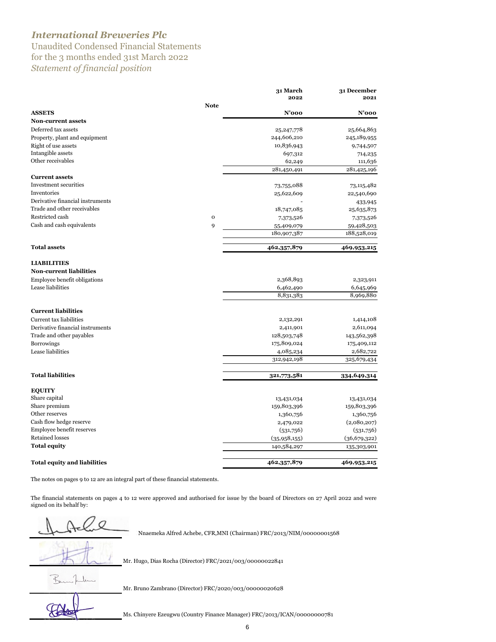Unaudited Condensed Financial Statements for the 3 months ended 31st March 2022 *Statement of financial position* 

|                                          |             | 31 March     | 31 December    |
|------------------------------------------|-------------|--------------|----------------|
|                                          |             | 2022         | 2021           |
| <b>ASSETS</b>                            | <b>Note</b> | $N'$ 000     | $N'$ 000       |
| <b>Non-current assets</b>                |             |              |                |
| Deferred tax assets                      |             |              |                |
|                                          |             | 25, 247, 778 | 25,664,863     |
| Property, plant and equipment            |             | 244,606,210  | 245,189,955    |
| Right of use assets<br>Intangible assets |             | 10,836,943   | 9,744,507      |
| Other receivables                        |             | 697,312      | 714,235        |
|                                          |             | 62,249       | 111,636        |
| <b>Current assets</b>                    |             | 281,450,491  | 281,425,196    |
| Investment securities                    |             |              |                |
| Inventories                              |             | 73,755,088   | 73,115,482     |
| Derivative financial instruments         |             | 25,622,609   | 22,540,690     |
| Trade and other receivables              |             |              | 433,945        |
|                                          |             | 18,747,085   | 25,635,873     |
| Restricted cash                          | $\mathbf 0$ | 7,373,526    | 7,373,526      |
| Cash and cash equivalents                | 9           | 55,409,079   | 59,428,503     |
|                                          |             | 180,907,387  | 188,528,019    |
| <b>Total assets</b>                      |             | 462,357,879  | 469,953,215    |
| <b>LIABILITIES</b>                       |             |              |                |
| <b>Non-current liabilities</b>           |             |              |                |
| Employee benefit obligations             |             | 2,368,893    | 2,323,911      |
| Lease liabilities                        |             | 6,462,490    | 6,645,969      |
|                                          |             | 8,831,383    | 8,969,880      |
|                                          |             |              |                |
| <b>Current liabilities</b>               |             |              |                |
| Current tax liabilities                  |             | 2,132,291    | 1,414,108      |
| Derivative financial instruments         |             | 2,411,901    | 2,611,094      |
| Trade and other payables                 |             | 128,503,748  | 143,562,398    |
| <b>Borrowings</b>                        |             | 175,809,024  | 175,409,112    |
| Lease liabilities                        |             | 4,085,234    | 2,682,722      |
|                                          |             | 312,942,198  | 325,679,434    |
| <b>Total liabilities</b>                 |             | 321,773,581  | 334,649,314    |
| <b>EQUITY</b>                            |             |              |                |
| Share capital                            |             | 13,431,034   | 13,431,034     |
| Share premium                            |             | 159,803,396  | 159,803,396    |
| Other reserves                           |             | 1,360,756    | 1,360,756      |
| Cash flow hedge reserve                  |             | 2,479,022    | (2,080,207)    |
| Employee benefit reserves                |             | (531,756)    | (531,756)      |
| <b>Retained losses</b>                   |             | (35,958,155) | (36, 679, 322) |
| <b>Total equity</b>                      |             | 140,584,297  | 135,303,901    |
| <b>Total equity and liabilities</b>      |             | 462,357,879  | 469,953,215    |

The notes on pages 9 to 12 are an integral part of these financial statements.

The financial statements on pages 4 to 12 were approved and authorised for issue by the board of Directors on 27 April 2022 and were signed on its behalf by:

HRM Nnaemeka Alfred Achebe, CFR,MNI (Chairman) FRC/2013/NIM/00000001568

Mr. Hugo, Dias Rocha (Director) FRC/2021/003/00000022841

Burn Jackson

Mr. Bruno Zambrano (Director) FRC/2020/003/00000020628

Ms. Chinyere Ezeugwu (Country Finance Manager) FRC/2013/ICAN/00000000781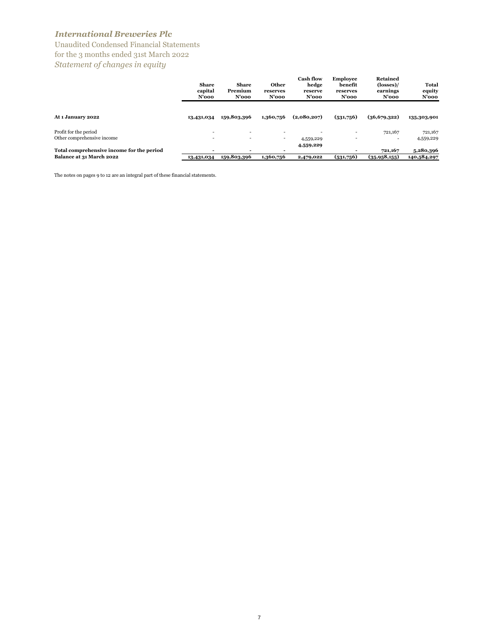Unaudited Condensed Financial Statements for the 3 months ended 31st March 2022 *Statement of changes in equity*

|                                           | Share<br>capital<br>$N'$ 000 | Share<br>Premium<br>$N'$ 000 | Other<br>reserves<br>$N'$ 000 | <b>Cash flow</b><br>hedge<br>reserve<br>$N'$ 000 | <b>Employee</b><br>benefit<br>reserves<br>N'ooo | <b>Retained</b><br>$(\text{losses})$ /<br>earnings<br>$N'$ 000 | Total<br>equity<br>N'ooo |
|-------------------------------------------|------------------------------|------------------------------|-------------------------------|--------------------------------------------------|-------------------------------------------------|----------------------------------------------------------------|--------------------------|
| At 1 January 2022                         | 13,431,034                   | 159,803,396                  | 1,360,756                     | (2,080,207)                                      | (531,756)                                       | (36,679,322)                                                   | 135,303,901              |
| Profit for the period                     | ۰                            | $\overline{\phantom{a}}$     | -                             |                                                  |                                                 | 721,167                                                        | 721,167                  |
| Other comprehensive income                |                              |                              | -                             | 4,559,229                                        | -                                               | ۰                                                              | 4,559,229                |
|                                           |                              |                              |                               | 4,559,229                                        |                                                 |                                                                |                          |
| Total comprehensive income for the period |                              |                              |                               |                                                  |                                                 | 721,167                                                        | 5,280,396                |
| Balance at 31 March 2022                  | 13,431,034                   | 159,803,396                  | 1,360,756                     | 2,479,022                                        | (531,756)                                       | (35,958,155)                                                   | 140,584,297              |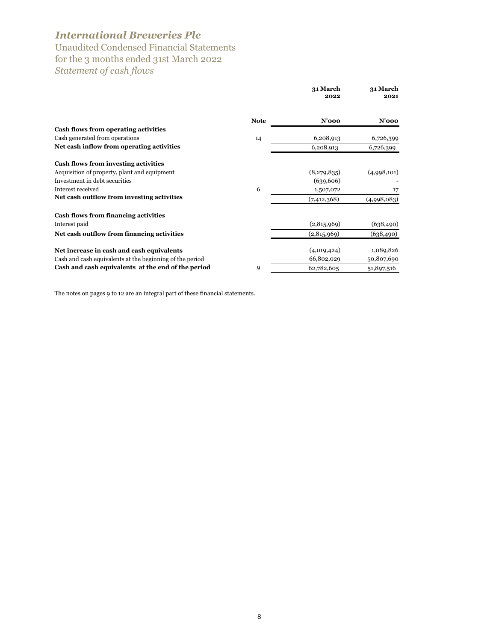Unaudited Condensed Financial Statements for the 3 months ended 31st March 2022 *Statement of cash flows*

|                                                          |             | 31 March<br>2022 | 31 March<br>2021 |
|----------------------------------------------------------|-------------|------------------|------------------|
|                                                          | <b>Note</b> | N'ooo            | N'ooo            |
| Cash flows from operating activities                     |             |                  |                  |
| Cash generated from operations                           | 14          | 6,208,913        | 6,726,399        |
| Net cash inflow from operating activities                |             | 6,208,913        | 6,726,399        |
| Cash flows from investing activities                     |             |                  |                  |
| Acquisition of property, plant and equipment             |             | (8,279,835)      | (4,998,101)      |
| Investment in debt securities                            |             | (639, 606)       |                  |
| Interest received                                        | 6           | 1,507,072        | 17               |
| Net cash outflow from investing activities               |             | (7,412,368)      | (4,998,083)      |
| Cash flows from financing activities                     |             |                  |                  |
| Interest paid                                            |             | (2,815,969)      | (638, 490)       |
| Net cash outflow from financing activities               |             | (2,815,969)      | (638, 490)       |
| Net increase in cash and cash equivalents                |             | (4,019,424)      | 1,089,826        |
| Cash and cash equivalents at the beginning of the period |             | 66,802,029       | 50,807,690       |
| Cash and cash equivalents at the end of the period       | 9           | 62,782,605       | 51,897,516       |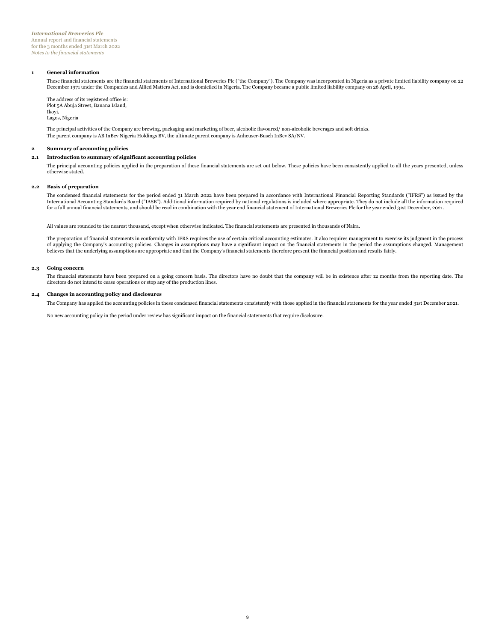#### **1 General information**

These financial statements are the financial statements of International Breweries Plc ("the Company"). The Company was incorporated in Nigeria as a private limited liability company on 22 December 1971 under the Companies and Allied Matters Act, and is domiciled in Nigeria. The Company became a public limited liability company on 26 April, 1994.

The address of its registered office is: Plot 5A Abuja Street, Banana Island, Ikoyi, Lagos, Nigeria

The principal activities of the Company are brewing, packaging and marketing of beer, alcoholic flavoured/ non-alcoholic beverages and soft drinks. The parent company is AB InBev Nigeria Holdings BV, the ultimate parent company is Anheuser-Busch InBev SA/NV.

#### **2 Summary of accounting policies**

#### **2.1 Introduction to summary of significant accounting policies**

The principal accounting policies applied in the preparation of these financial statements are set out below. These policies have been consistently applied to all the years presented, unless otherwise stated.

#### **2.2 Basis of preparation**

The condensed financial statements for the period ended 31 March 2022 have been prepared in accordance with International Financial Reporting Standards ("IFRS") as issued by the International Accounting Standards Board ("IASB"). Additional information required by national regulations is included where appropriate. They do not include all the information required<br>for a full annual financial stateme

**23** All values are rounded to the nearest thousand, except when otherwise indicated. The financial statements are presented in thousands of Naira.

The preparation of financial statements in conformity with IFRS requires the use of certain critical accounting estimates. It also requires management to exercise its judgment in the process of applying the Company's accounting policies. Changes in assumptions may have a significant impact on the financial statements in the period the assumptions changed. Management<br>believes that the underlying assumptions are

#### **2.3 Going concern 24**

The financial statements have been prepared on a going concern basis. The directors have no doubt that the company will be in existence after 12 months from the reporting date. The directors do not intend to cease operations or stop any of the production lines.

### **2.4 Changes in accounting policy and disclosures**

The Company has applied the accounting policies in these condensed financial statements consistently with those applied in the financial statements for the year ended 31st December 2021.

No new accounting policy in the period under review has significant impact on the financial statements that require disclosure.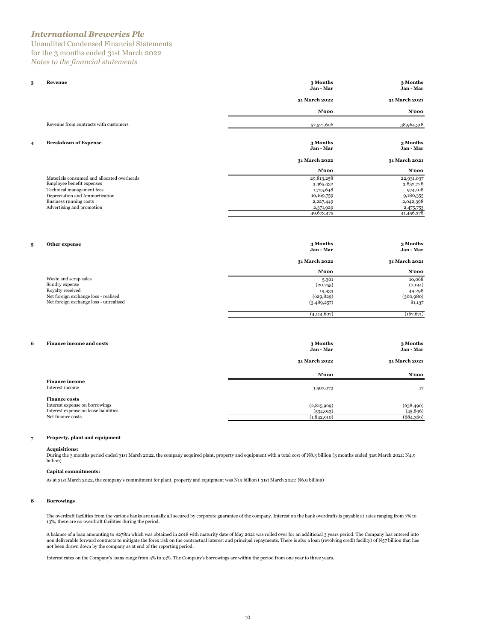Unaudited Condensed Financial Statements for the 3 months ended 31st March 2022 *Notes to the financial statements*

| 3                       | Revenue                                                                                                                                                                                       | 3 Months<br>Jan - Mar                                                                      | 3 Months<br>Jan - Mar                                                                   |
|-------------------------|-----------------------------------------------------------------------------------------------------------------------------------------------------------------------------------------------|--------------------------------------------------------------------------------------------|-----------------------------------------------------------------------------------------|
|                         |                                                                                                                                                                                               | 31 March 2022                                                                              | 31 March 2021                                                                           |
|                         |                                                                                                                                                                                               | N'ooo                                                                                      | N'ooo                                                                                   |
|                         | Revenue from contracts with customers                                                                                                                                                         | 57,521,606                                                                                 | 38,964,318                                                                              |
| $\overline{\mathbf{4}}$ | <b>Breakdown of Expense</b>                                                                                                                                                                   | 3 Months<br>Jan - Mar<br>31 March 2022                                                     | 3 Months<br>Jan - Mar<br>31 March 2021                                                  |
|                         |                                                                                                                                                                                               | N'ooo                                                                                      | $N'$ 000                                                                                |
|                         | Materials consumed and allocated overheads<br>Employee benefit expenses<br>Technical management fees<br>Depreciation and Ammortization<br>Business running costs<br>Advertising and promotion | 29,813,258<br>3,365,432<br>1,725,648<br>10,169,759<br>2,227,449<br>2,371,929<br>49,673,475 | 22,931,037<br>3,852,728<br>974,108<br>9,180,355<br>2,042,398<br>2,475,753<br>41,456,378 |

| Other expense<br>5                     | 3 Months<br>Jan - Mar | 3 Months<br>Jan - Mar |
|----------------------------------------|-----------------------|-----------------------|
|                                        | 31 March 2022         | 31 March 2021         |
|                                        | N'ooo                 | N'ooo                 |
| Waste and scrap sales                  | 5,301                 | 10,068                |
| Sundry expense                         | (20,755)              | (7, 194)              |
| Royalty received                       | 19,933                | 49,298                |
| Net foreign exchange loss - realised   | (629, 829)            | (300, 980)            |
| Net foreign exchange loss - unrealised | (3,489,257)           | 81,137                |
|                                        | (4, 114, 607)         | (167, 671)            |

| 6<br><b>Finance income and costs</b>  | 3 Months<br>Jan - Mar | 3 Months<br>Jan - Mar |
|---------------------------------------|-----------------------|-----------------------|
|                                       | 31 March 2022         | 31 March 2021         |
|                                       | $N'$ 000              | $N'$ 000              |
| <b>Finance income</b>                 |                       |                       |
| Interest income                       | 1,507,072             | 17                    |
| <b>Finance costs</b>                  |                       |                       |
| Interest expense on borrowings        | (2,815,969)           | (638, 490)            |
| Interest expense on lease liabilities | (534, 013)            | (45, 896)             |
| Net finance costs                     | (1,842,910)           | (684,369)             |
|                                       |                       |                       |

#### **7 Property, plant and equipment**

**Acquisitions:**<br>During the 3 months period ended 31st March 2022, the company acquired plant, property and equipment with a total cost of N8.3 billion (3 months ended 31st March 2021: N4.9<br>billion)

#### **Capital commitments:**

As at 31st March 2022, the company's commitment for plant, property and equipment was N19 billion ( 31st March 2021: N6.9 billion)

#### **8 Borrowings**

The overdraft facilities from the various banks are usually all secured by corporate guarantee of the company. Interest on the bank overdrafts is payable at rates ranging from 7% to 13%; there are no overdraft facilities during the period.

A balance of a loan amounting to \$278m which was obtained in 2018 with maturity date of May 2021 was rolled over for an additional 3 years period. The Company has entered into non deliverable forward contracts to mitigate the forex risk on the contractual interest and principal repayments. There is also a loan (revolving credit facility) of N57 billion that has<br>not been drawn down by the company

Interest rates on the Company's loans range from 4% to 13%. The Company's borrowings are within the period from one year to three years.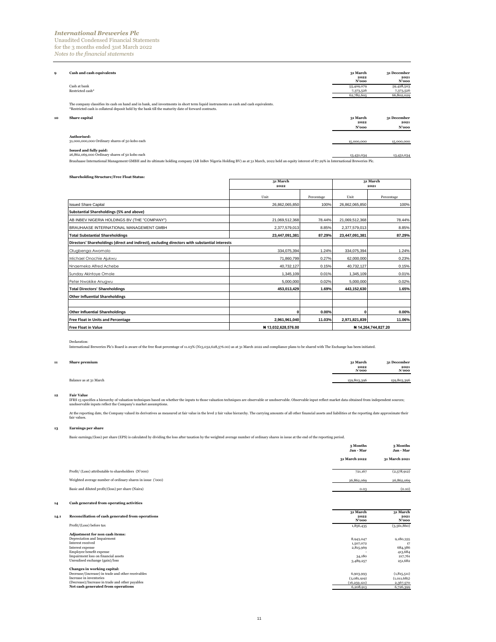Unaudited Condensed Financial Statements for the 3 months ended 31st March 2022 *Notes to the financial statements*

|    | Cash and cash equivalents                                                                                                                                                                                                                   | 31 March         | 31 December         |
|----|---------------------------------------------------------------------------------------------------------------------------------------------------------------------------------------------------------------------------------------------|------------------|---------------------|
|    |                                                                                                                                                                                                                                             | 2022<br>N'ooo    | 2021<br>N'ooo       |
|    | Cash at bank                                                                                                                                                                                                                                | 55,409,079       | 59,428,503          |
|    | Restricted cash*                                                                                                                                                                                                                            | 7,373,526        | 7,373,526           |
|    |                                                                                                                                                                                                                                             | 62,782,605       | 66,802,029          |
|    | The company classifies its cash on hand and in bank, and investments in short term liquid instruments as cash and cash equivalents.<br>*Restricted cash is collateral deposit held by the bank till the maturity date of forward contracts. |                  |                     |
| 10 | Share capital                                                                                                                                                                                                                               | 31 March<br>2022 | 31 December<br>2021 |
|    |                                                                                                                                                                                                                                             | N'ooo            | N'ooo               |
|    | Authorised:<br>31,000,000,000 Ordinary shares of 50 kobo each                                                                                                                                                                               | 15,000,000       | 15,000,000          |
|    | Issued and fully paid:<br>26,862,069,000 Ordinary shares of 50 kobo each                                                                                                                                                                    | 13,431,034       | 13,431,034          |
|    | Brauhaase International Management GMBH and its ultimate holding company (AB InBev Nigeria Holding BV) as at 31 March, 2022 held an equity interest of 87.29% in International Breweries Plc.                                               |                  |                     |

| <b>Shareholding Structure/Free Float Status:</b>                                               |                    |                     |                |            |
|------------------------------------------------------------------------------------------------|--------------------|---------------------|----------------|------------|
|                                                                                                | 31 March<br>2022   | 31 March<br>2021    |                |            |
|                                                                                                |                    |                     |                |            |
|                                                                                                | Unit               | Percentage          | Unit           | Percentage |
| <b>Issued Share Capital</b>                                                                    | 26.862.065.850     | 100%                | 26,862,065,850 | 100%       |
| Substantial Shareholdings (5% and above)                                                       |                    |                     |                |            |
| AB INBEV NIGERIA HOLDINGS BV (THE "COMPANY")                                                   | 21,069,512,368     | 78.44%              | 21,069,512,368 | 78.44%     |
| BRAUHAASE INTERNATIONAL MANAGEMENT GMBH                                                        | 2,377,579,013      | 8.85%               | 2,377,579,013  | 8.85%      |
| <b>Total Substantial Shareholdings</b>                                                         | 23,447,091,381     | 87.29%              | 23,447,091,381 | 87.29%     |
| Directors' Shareholdings (direct and indirect), excluding directors with substantial interests |                    |                     |                |            |
| Olugbenga Awomolo                                                                              | 334,075,394        | 1.24%               | 334,075,394    | 1.24%      |
| Michael Onochie Ajukwu                                                                         | 71,860,799         | 0.27%               | 62,000,000     | 0.23%      |
| Nnaemeka Alfred Achebe                                                                         | 40,732,127         | 0.15%               | 40,732,127     | 0.15%      |
| Sunday Akintoye Omole                                                                          | 1,345,109          | 0.01%               | 1,345,109      | 0.01%      |
| Peter Nwokike Anugwu                                                                           | 5.000.000          | 0.02%               | 5,000,000      | 0.02%      |
| <b>Total Directors' Shareholdings</b>                                                          | 453,013,429        | 1.69%               | 443,152,630    | 1.65%      |
| <b>Other Influential Shareholdings</b>                                                         |                    |                     |                |            |
|                                                                                                |                    |                     |                |            |
| <b>Other Influential Shareholdings</b>                                                         | Ω                  | 0.00%               | O              | 0.00%      |
| <b>Free Float in Units and Percentage</b>                                                      | 2,961,961,040      | 11.03%              | 2,971,821,839  | 11.06%     |
| <b>Free Float in Value</b>                                                                     | #13,032,628,576.00 | # 14,264,744,827.20 |                |            |

Declaration:<br>International Breweries Plc's Board is aware of the free float percentage of 11.03% (N13,032,628,576.00) as at 31 March 2022 and compliance plans to be shared with The Exchange has been initiated.

### **11 Share premium 31 March**

| <b>Share premium</b>   | 31 March<br>2022<br>N'ooo | 31 December<br>2021<br>N'ooo |
|------------------------|---------------------------|------------------------------|
| Balance as at 31 March | 159,803,396               | 159,803,396                  |

Fair Value<br>IFRS 13 specifies a hierarchy of valuation techniques based on whether the inputs to those valuation techniques are observable or unobservable. Observable input reflect market data obtained from independent sour

At the reporting date, the Company valued its derivatives as measured at fair value in the level 2 fair value hierarchy. The carrying amounts of all other financial assets and liabilities at the reporting date approximate

#### **13 Earnings per share**

Basic earnings/(loss) per share (EPS) is calculated by dividing the loss after taxation by the weighted average number of ordinary shares in issue at the end of the reporting period.

|      |                                                                                                                                                                                                              | 3 Months<br>Jan - Mar                                      | 3 Months<br>Jan - Mar                                       |
|------|--------------------------------------------------------------------------------------------------------------------------------------------------------------------------------------------------------------|------------------------------------------------------------|-------------------------------------------------------------|
|      |                                                                                                                                                                                                              | 31 March 2022                                              | 31 March 2021                                               |
|      | Profit/ (Loss) attributable to shareholders (N'000)                                                                                                                                                          | 721,167                                                    | (2,578,912)                                                 |
|      | Weighted average number of ordinary shares in issue ('000)                                                                                                                                                   | 26,862,069                                                 | 26,862,069                                                  |
|      | Basic and diluted profit/(loss) per share (Naira)                                                                                                                                                            | 0.03                                                       | (0.10)                                                      |
| 14   | Cash generated from operating activities                                                                                                                                                                     |                                                            |                                                             |
| 14.1 | Reconciliation of cash generated from operations                                                                                                                                                             | 31 March<br>2022<br>N'ooo                                  | 31 March<br>2021<br>N'ooo                                   |
|      | Profit/(Loss) before tax                                                                                                                                                                                     | 1,856,435                                                  | (3,561,860)                                                 |
|      | Adjustment for non cash items:<br>Depreciation and Impairment<br>Interest received<br>Interest expense<br>Employee benefit expense<br>Impairment loss on financial assets<br>Unrealised exchange (gain)/loss | 8,943,047<br>1,507,072<br>2,815,969<br>34,180<br>3,489,257 | 9,180,355<br>17<br>684,386<br>413,684<br>217,761<br>251,682 |
|      | Changes in working capital:<br>Decrease/(increase) in trade and other receivables<br>Increase in inventories<br>(Decrease)/Increase in trade and other payables<br>Net cash generated from operations        | 6,903,993<br>(3.081.919)<br>(16, 259, 121)<br>6,208,913    | (1, 815, 511)<br>(1.011.685)<br>2,367,570<br>6,726,399      |